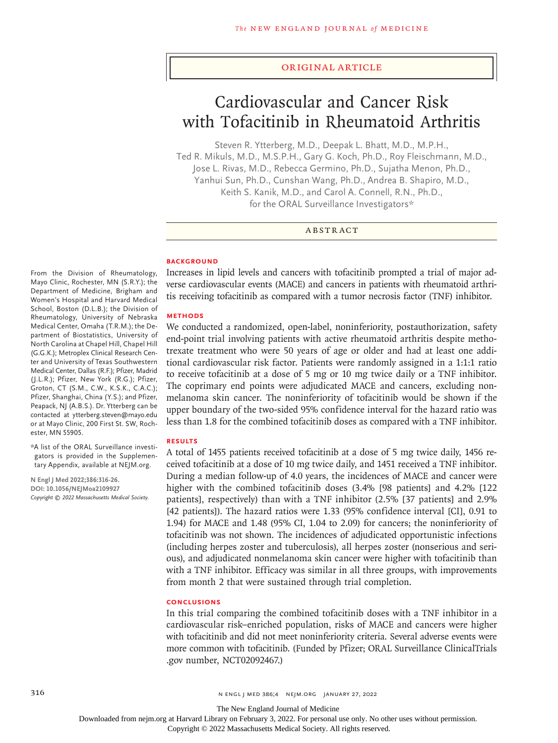#### Original Article

# Cardiovascular and Cancer Risk with Tofacitinib in Rheumatoid Arthritis

Steven R. Ytterberg, M.D., Deepak L. Bhatt, M.D., M.P.H., Ted R. Mikuls, M.D., M.S.P.H., Gary G. Koch, Ph.D., Roy Fleischmann, M.D., Jose L. Rivas, M.D., Rebecca Germino, Ph.D., Sujatha Menon, Ph.D., Yanhui Sun, Ph.D., Cunshan Wang, Ph.D., Andrea B. Shapiro, M.D., Keith S. Kanik, M.D., and Carol A. Connell, R.N., Ph.D., for the ORAL Surveillance Investigators\*

# ABSTRACT

#### **BACKGROUND**

From the Division of Rheumatology, Mayo Clinic, Rochester, MN (S.R.Y.); the Department of Medicine, Brigham and Women's Hospital and Harvard Medical School, Boston (D.L.B.); the Division of Rheumatology, University of Nebraska Medical Center, Omaha (T.R.M.); the Department of Biostatistics, University of North Carolina at Chapel Hill, Chapel Hill (G.G.K.); Metroplex Clinical Research Center and University of Texas Southwestern Medical Center, Dallas (R.F.); Pfizer, Madrid (J.L.R.); Pfizer, New York (R.G.); Pfizer, Groton, CT (S.M., C.W., K.S.K., C.A.C.); Pfizer, Shanghai, China (Y.S.); and Pfizer, Peapack, NJ (A.B.S.). Dr. Ytterberg can be contacted at ytterberg.steven@mayo.edu or at Mayo Clinic, 200 First St. SW, Rochester, MN 55905.

\*A list of the ORAL Surveillance investigators is provided in the Supplementary Appendix, available at NEJM.org.

**N Engl J Med 2022;386:316-26. DOI: 10.1056/NEJMoa2109927** *Copyright © 2022 Massachusetts Medical Society.* Increases in lipid levels and cancers with tofacitinib prompted a trial of major adverse cardiovascular events (MACE) and cancers in patients with rheumatoid arthritis receiving tofacitinib as compared with a tumor necrosis factor (TNF) inhibitor.

#### **METHODS**

We conducted a randomized, open-label, noninferiority, postauthorization, safety end-point trial involving patients with active rheumatoid arthritis despite methotrexate treatment who were 50 years of age or older and had at least one additional cardiovascular risk factor. Patients were randomly assigned in a 1:1:1 ratio to receive tofacitinib at a dose of 5 mg or 10 mg twice daily or a TNF inhibitor. The coprimary end points were adjudicated MACE and cancers, excluding nonmelanoma skin cancer. The noninferiority of tofacitinib would be shown if the upper boundary of the two-sided 95% confidence interval for the hazard ratio was less than 1.8 for the combined tofacitinib doses as compared with a TNF inhibitor.

#### **RESULTS**

A total of 1455 patients received tofacitinib at a dose of 5 mg twice daily, 1456 received tofacitinib at a dose of 10 mg twice daily, and 1451 received a TNF inhibitor. During a median follow-up of 4.0 years, the incidences of MACE and cancer were higher with the combined to facitinib doses  $(3.4\%$  [98 patients] and 4.2% [122] patients], respectively) than with a TNF inhibitor (2.5% [37 patients] and 2.9% [42 patients]). The hazard ratios were 1.33 (95% confidence interval [CI], 0.91 to 1.94) for MACE and 1.48 (95% CI, 1.04 to 2.09) for cancers; the noninferiority of tofacitinib was not shown. The incidences of adjudicated opportunistic infections (including herpes zoster and tuberculosis), all herpes zoster (nonserious and serious), and adjudicated nonmelanoma skin cancer were higher with tofacitinib than with a TNF inhibitor. Efficacy was similar in all three groups, with improvements from month 2 that were sustained through trial completion.

#### **CONCLUSIONS**

In this trial comparing the combined tofacitinib doses with a TNF inhibitor in a cardiovascular risk–enriched population, risks of MACE and cancers were higher with tofacitinib and did not meet noninferiority criteria. Several adverse events were more common with tofacitinib. (Funded by Pfizer; ORAL Surveillance ClinicalTrials .gov number, NCT02092467.)

The New England Journal of Medicine

Downloaded from nejm.org at Harvard Library on February 3, 2022. For personal use only. No other uses without permission.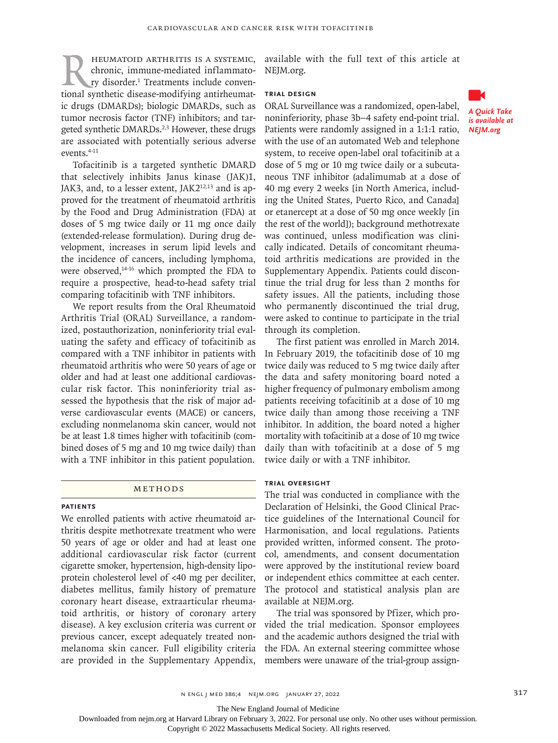HEUMATOID ARTHRITIS IS A SYSTEMIC,<br>chronic, immune-mediated inflammato-<br>ry disorder.<sup>1</sup> Treatments include conven-<br>tional synthetic disease-modifying antirheumatchronic, immune-mediated inflammatory disorder.<sup>1</sup> Treatments include conventional synthetic disease-modifying antirheumatic drugs (DMARDs); biologic DMARDs, such as tumor necrosis factor (TNF) inhibitors; and targeted synthetic DMARDs.<sup>2,3</sup> However, these drugs are associated with potentially serious adverse events.4-11

Tofacitinib is a targeted synthetic DMARD that selectively inhibits Janus kinase (JAK)1, JAK3, and, to a lesser extent, JAK2<sup>12,13</sup> and is approved for the treatment of rheumatoid arthritis by the Food and Drug Administration (FDA) at doses of 5 mg twice daily or 11 mg once daily (extended-release formulation). During drug development, increases in serum lipid levels and the incidence of cancers, including lymphoma, were observed,<sup>14-16</sup> which prompted the FDA to require a prospective, head-to-head safety trial comparing tofacitinib with TNF inhibitors.

We report results from the Oral Rheumatoid Arthritis Trial (ORAL) Surveillance, a randomized, postauthorization, noninferiority trial evaluating the safety and efficacy of tofacitinib as compared with a TNF inhibitor in patients with rheumatoid arthritis who were 50 years of age or older and had at least one additional cardiovascular risk factor. This noninferiority trial assessed the hypothesis that the risk of major adverse cardiovascular events (MACE) or cancers, excluding nonmelanoma skin cancer, would not be at least 1.8 times higher with tofacitinib (combined doses of 5 mg and 10 mg twice daily) than with a TNF inhibitor in this patient population.

## METHODS

## **Patients**

We enrolled patients with active rheumatoid arthritis despite methotrexate treatment who were 50 years of age or older and had at least one additional cardiovascular risk factor (current cigarette smoker, hypertension, high-density lipoprotein cholesterol level of <40 mg per deciliter, diabetes mellitus, family history of premature coronary heart disease, extraarticular rheumatoid arthritis, or history of coronary artery disease). A key exclusion criteria was current or previous cancer, except adequately treated nonmelanoma skin cancer. Full eligibility criteria are provided in the Supplementary Appendix, available with the full text of this article at NEJM.org.

# **Trial Design**

ORAL Surveillance was a randomized, open-label, noninferiority, phase 3b–4 safety end-point trial. Patients were randomly assigned in a 1:1:1 ratio, with the use of an automated Web and telephone system, to receive open-label oral tofacitinib at a dose of 5 mg or 10 mg twice daily or a subcutaneous TNF inhibitor (adalimumab at a dose of 40 mg every 2 weeks [in North America, including the United States, Puerto Rico, and Canada] or etanercept at a dose of 50 mg once weekly [in the rest of the world]); background methotrexate was continued, unless modification was clinically indicated. Details of concomitant rheumatoid arthritis medications are provided in the Supplementary Appendix. Patients could discontinue the trial drug for less than 2 months for safety issues. All the patients, including those who permanently discontinued the trial drug, were asked to continue to participate in the trial through its completion.

The first patient was enrolled in March 2014. In February 2019, the tofacitinib dose of 10 mg twice daily was reduced to 5 mg twice daily after the data and safety monitoring board noted a higher frequency of pulmonary embolism among patients receiving tofacitinib at a dose of 10 mg twice daily than among those receiving a TNF inhibitor. In addition, the board noted a higher mortality with tofacitinib at a dose of 10 mg twice daily than with tofacitinib at a dose of 5 mg twice daily or with a TNF inhibitor.

#### **Trial Oversight**

The trial was conducted in compliance with the Declaration of Helsinki, the Good Clinical Practice guidelines of the International Council for Harmonisation, and local regulations. Patients provided written, informed consent. The protocol, amendments, and consent documentation were approved by the institutional review board or independent ethics committee at each center. The protocol and statistical analysis plan are available at NEJM.org.

The trial was sponsored by Pfizer, which provided the trial medication. Sponsor employees and the academic authors designed the trial with the FDA. An external steering committee whose members were unaware of the trial-group assign-



*A Quick Take is available at NEJM.org*

The New England Journal of Medicine

Downloaded from nejm.org at Harvard Library on February 3, 2022. For personal use only. No other uses without permission.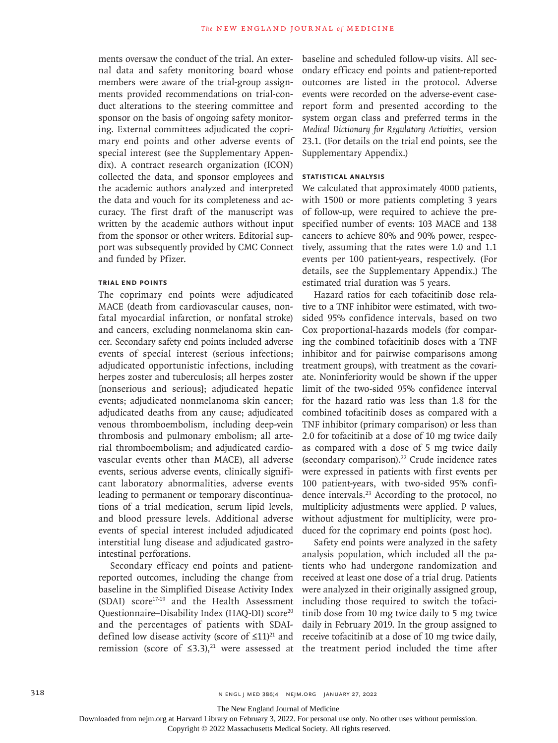ments oversaw the conduct of the trial. An external data and safety monitoring board whose members were aware of the trial-group assignments provided recommendations on trial-conduct alterations to the steering committee and sponsor on the basis of ongoing safety monitoring. External committees adjudicated the coprimary end points and other adverse events of special interest (see the Supplementary Appendix). A contract research organization (ICON) collected the data, and sponsor employees and the academic authors analyzed and interpreted the data and vouch for its completeness and accuracy. The first draft of the manuscript was written by the academic authors without input from the sponsor or other writers. Editorial support was subsequently provided by CMC Connect and funded by Pfizer.

## **Trial End Points**

The coprimary end points were adjudicated MACE (death from cardiovascular causes, nonfatal myocardial infarction, or nonfatal stroke) and cancers, excluding nonmelanoma skin cancer. Secondary safety end points included adverse events of special interest (serious infections; adjudicated opportunistic infections, including herpes zoster and tuberculosis; all herpes zoster [nonserious and serious]; adjudicated hepatic events; adjudicated nonmelanoma skin cancer; adjudicated deaths from any cause; adjudicated venous thromboembolism, including deep-vein thrombosis and pulmonary embolism; all arterial thromboembolism; and adjudicated cardiovascular events other than MACE), all adverse events, serious adverse events, clinically significant laboratory abnormalities, adverse events leading to permanent or temporary discontinuations of a trial medication, serum lipid levels, and blood pressure levels. Additional adverse events of special interest included adjudicated interstitial lung disease and adjudicated gastrointestinal perforations.

Secondary efficacy end points and patientreported outcomes, including the change from baseline in the Simplified Disease Activity Index (SDAI) score17-19 and the Health Assessment Questionnaire–Disability Index (HAQ-DI) score<sup>20</sup> and the percentages of patients with SDAIdefined low disease activity (score of  $\leq 11$ )<sup>21</sup> and

baseline and scheduled follow-up visits. All secondary efficacy end points and patient-reported outcomes are listed in the protocol. Adverse events were recorded on the adverse-event casereport form and presented according to the system organ class and preferred terms in the *Medical Dictionary for Regulatory Activities*, version 23.1. (For details on the trial end points, see the Supplementary Appendix.)

# **Statistical Analysis**

We calculated that approximately 4000 patients, with 1500 or more patients completing 3 years of follow-up, were required to achieve the prespecified number of events: 103 MACE and 138 cancers to achieve 80% and 90% power, respectively, assuming that the rates were 1.0 and 1.1 events per 100 patient-years, respectively. (For details, see the Supplementary Appendix.) The estimated trial duration was 5 years.

Hazard ratios for each tofacitinib dose relative to a TNF inhibitor were estimated, with twosided 95% confidence intervals, based on two Cox proportional-hazards models (for comparing the combined tofacitinib doses with a TNF inhibitor and for pairwise comparisons among treatment groups), with treatment as the covariate. Noninferiority would be shown if the upper limit of the two-sided 95% confidence interval for the hazard ratio was less than 1.8 for the combined tofacitinib doses as compared with a TNF inhibitor (primary comparison) or less than 2.0 for tofacitinib at a dose of 10 mg twice daily as compared with a dose of 5 mg twice daily (secondary comparison).<sup>22</sup> Crude incidence rates were expressed in patients with first events per 100 patient-years, with two-sided 95% confidence intervals.23 According to the protocol, no multiplicity adjustments were applied. P values, without adjustment for multiplicity, were produced for the coprimary end points (post hoc).

remission (score of  $\leq 3.3$ ),<sup>21</sup> were assessed at the treatment period included the time after Safety end points were analyzed in the safety analysis population, which included all the patients who had undergone randomization and received at least one dose of a trial drug. Patients were analyzed in their originally assigned group, including those required to switch the tofacitinib dose from 10 mg twice daily to 5 mg twice daily in February 2019. In the group assigned to receive tofacitinib at a dose of 10 mg twice daily,

The New England Journal of Medicine

Downloaded from nejm.org at Harvard Library on February 3, 2022. For personal use only. No other uses without permission.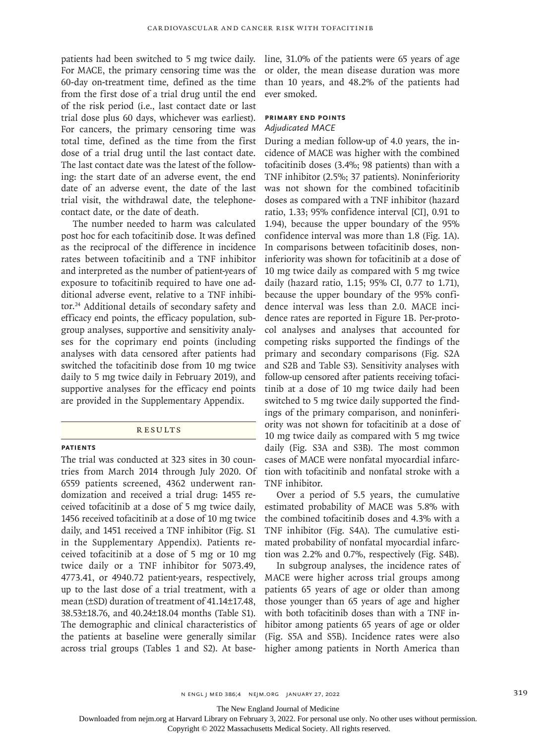patients had been switched to 5 mg twice daily. For MACE, the primary censoring time was the 60-day on-treatment time, defined as the time from the first dose of a trial drug until the end of the risk period (i.e., last contact date or last trial dose plus 60 days, whichever was earliest). For cancers, the primary censoring time was total time, defined as the time from the first dose of a trial drug until the last contact date. The last contact date was the latest of the following: the start date of an adverse event, the end date of an adverse event, the date of the last trial visit, the withdrawal date, the telephonecontact date, or the date of death.

The number needed to harm was calculated post hoc for each tofacitinib dose. It was defined as the reciprocal of the difference in incidence rates between tofacitinib and a TNF inhibitor and interpreted as the number of patient-years of exposure to tofacitinib required to have one additional adverse event, relative to a TNF inhibitor.24 Additional details of secondary safety and efficacy end points, the efficacy population, subgroup analyses, supportive and sensitivity analyses for the coprimary end points (including analyses with data censored after patients had switched the tofacitinib dose from 10 mg twice daily to 5 mg twice daily in February 2019), and supportive analyses for the efficacy end points are provided in the Supplementary Appendix.

#### **RESULTS**

#### **Patients**

The trial was conducted at 323 sites in 30 countries from March 2014 through July 2020. Of 6559 patients screened, 4362 underwent randomization and received a trial drug: 1455 received tofacitinib at a dose of 5 mg twice daily, 1456 received tofacitinib at a dose of 10 mg twice daily, and 1451 received a TNF inhibitor (Fig. S1 in the Supplementary Appendix). Patients received tofacitinib at a dose of 5 mg or 10 mg twice daily or a TNF inhibitor for 5073.49, 4773.41, or 4940.72 patient-years, respectively, up to the last dose of a trial treatment, with a mean (±SD) duration of treatment of 41.14±17.48, 38.53±18.76, and 40.24±18.04 months (Table S1). The demographic and clinical characteristics of the patients at baseline were generally similar across trial groups (Tables 1 and S2). At base-

line, 31.0% of the patients were 65 years of age or older, the mean disease duration was more than 10 years, and 48.2% of the patients had ever smoked.

# **Primary End Points** *Adjudicated MACE*

During a median follow-up of 4.0 years, the incidence of MACE was higher with the combined tofacitinib doses (3.4%; 98 patients) than with a TNF inhibitor (2.5%; 37 patients). Noninferiority was not shown for the combined tofacitinib doses as compared with a TNF inhibitor (hazard ratio, 1.33; 95% confidence interval [CI], 0.91 to 1.94), because the upper boundary of the 95% confidence interval was more than 1.8 (Fig. 1A). In comparisons between tofacitinib doses, noninferiority was shown for tofacitinib at a dose of 10 mg twice daily as compared with 5 mg twice daily (hazard ratio, 1.15; 95% CI, 0.77 to 1.71), because the upper boundary of the 95% confidence interval was less than 2.0. MACE incidence rates are reported in Figure 1B. Per-protocol analyses and analyses that accounted for competing risks supported the findings of the primary and secondary comparisons (Fig. S2A and S2B and Table S3). Sensitivity analyses with follow-up censored after patients receiving tofacitinib at a dose of 10 mg twice daily had been switched to 5 mg twice daily supported the findings of the primary comparison, and noninferiority was not shown for tofacitinib at a dose of 10 mg twice daily as compared with 5 mg twice daily (Fig. S3A and S3B). The most common cases of MACE were nonfatal myocardial infarction with tofacitinib and nonfatal stroke with a TNF inhibitor.

Over a period of 5.5 years, the cumulative estimated probability of MACE was 5.8% with the combined tofacitinib doses and 4.3% with a TNF inhibitor (Fig. S4A). The cumulative estimated probability of nonfatal myocardial infarction was 2.2% and 0.7%, respectively (Fig. S4B).

In subgroup analyses, the incidence rates of MACE were higher across trial groups among patients 65 years of age or older than among those younger than 65 years of age and higher with both tofacitinib doses than with a TNF inhibitor among patients 65 years of age or older (Fig. S5A and S5B). Incidence rates were also higher among patients in North America than

n engl j med 386;4 nejm.org January 27, 2022 319

The New England Journal of Medicine

Downloaded from nejm.org at Harvard Library on February 3, 2022. For personal use only. No other uses without permission.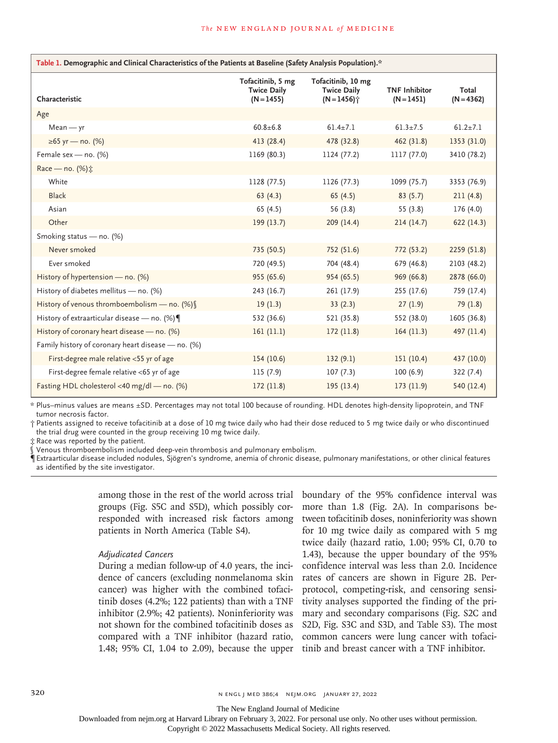| Table 1. Demographic and Clinical Characteristics of the Patients at Baseline (Safety Analysis Population).* |                                                         |                                                          |                                      |                       |  |  |  |
|--------------------------------------------------------------------------------------------------------------|---------------------------------------------------------|----------------------------------------------------------|--------------------------------------|-----------------------|--|--|--|
| Characteristic                                                                                               | Tofacitinib, 5 mg<br><b>Twice Daily</b><br>$(N = 1455)$ | Tofacitinib, 10 mg<br><b>Twice Daily</b><br>$(N = 1456)$ | <b>TNF Inhibitor</b><br>$(N = 1451)$ | Total<br>$(N = 4362)$ |  |  |  |
| Age                                                                                                          |                                                         |                                                          |                                      |                       |  |  |  |
| $Mean - yr$                                                                                                  | $60.8 + 6.8$                                            | $61.4 \pm 7.1$                                           | $61.3 \pm 7.5$                       | $61.2 \pm 7.1$        |  |  |  |
| ≥65 yr — no. (%)                                                                                             | 413 (28.4)                                              | 478 (32.8)                                               | 462 (31.8)                           | 1353 (31.0)           |  |  |  |
| Female sex - no. (%)                                                                                         | 1169 (80.3)                                             | 1124 (77.2)                                              | 1117 (77.0)                          | 3410 (78.2)           |  |  |  |
| Race - no. (%):                                                                                              |                                                         |                                                          |                                      |                       |  |  |  |
| White                                                                                                        | 1128 (77.5)                                             | 1126 (77.3)                                              | 1099 (75.7)                          | 3353 (76.9)           |  |  |  |
| <b>Black</b>                                                                                                 | 63(4.3)                                                 | 65(4.5)                                                  | 83(5.7)                              | 211(4.8)              |  |  |  |
| Asian                                                                                                        | 65 $(4.5)$                                              | 56 (3.8)                                                 | 55(3.8)                              | 176 (4.0)             |  |  |  |
| Other                                                                                                        | 199(13.7)                                               | 209 (14.4)                                               | 214(14.7)                            | 622 (14.3)            |  |  |  |
| Smoking status - no. (%)                                                                                     |                                                         |                                                          |                                      |                       |  |  |  |
| Never smoked                                                                                                 | 735 (50.5)                                              | 752 (51.6)                                               | 772 (53.2)                           | 2259 (51.8)           |  |  |  |
| Ever smoked                                                                                                  | 720 (49.5)                                              | 704 (48.4)                                               | 679 (46.8)                           | 2103 (48.2)           |  |  |  |
| History of hypertension - no. (%)                                                                            | 955 (65.6)                                              | 954 (65.5)                                               | 969 (66.8)                           | 2878 (66.0)           |  |  |  |
| History of diabetes mellitus - no. (%)                                                                       | 243 (16.7)                                              | 261 (17.9)                                               | 255(17.6)                            | 759 (17.4)            |  |  |  |
| History of venous thromboembolism - no. (%)                                                                  | 19(1.3)                                                 | 33(2.3)                                                  | 27(1.9)                              | 79(1.8)               |  |  |  |
| History of extraarticular disease - no. (%)                                                                  | 532 (36.6)                                              | 521 (35.8)                                               | 552 (38.0)                           | 1605 (36.8)           |  |  |  |
| History of coronary heart disease - no. (%)                                                                  | 161 (11.1)                                              | 172(11.8)                                                | 164(11.3)                            | 497 (11.4)            |  |  |  |
| Family history of coronary heart disease - no. (%)                                                           |                                                         |                                                          |                                      |                       |  |  |  |
| First-degree male relative <55 yr of age                                                                     | 154(10.6)                                               | 132(9.1)                                                 | 151(10.4)                            | 437 (10.0)            |  |  |  |
| First-degree female relative <65 yr of age                                                                   | 115(7.9)                                                | 107(7.3)                                                 | 100(6.9)                             | 322(7.4)              |  |  |  |
| Fasting HDL cholesterol <40 mg/dl - no. (%)                                                                  | 172(11.8)                                               | 195(13.4)                                                | 173(11.9)                            | 540 (12.4)            |  |  |  |

\* Plus–minus values are means ±SD. Percentages may not total 100 because of rounding. HDL denotes high-density lipoprotein, and TNF tumor necrosis factor.

† Patients assigned to receive tofacitinib at a dose of 10 mg twice daily who had their dose reduced to 5 mg twice daily or who discontinued the trial drug were counted in the group receiving 10 mg twice daily.

‡ Race was reported by the patient.

Venous thromboembolism included deep-vein thrombosis and pulmonary embolism.

¶ Extraarticular disease included nodules, Sjögren's syndrome, anemia of chronic disease, pulmonary manifestations, or other clinical features as identified by the site investigator.

> among those in the rest of the world across trial groups (Fig. S5C and S5D), which possibly corresponded with increased risk factors among patients in North America (Table S4).

## *Adjudicated Cancers*

During a median follow-up of 4.0 years, the incidence of cancers (excluding nonmelanoma skin cancer) was higher with the combined tofacitinib doses (4.2%; 122 patients) than with a TNF inhibitor (2.9%; 42 patients). Noninferiority was not shown for the combined tofacitinib doses as compared with a TNF inhibitor (hazard ratio, 1.48; 95% CI, 1.04 to 2.09), because the upper

boundary of the 95% confidence interval was more than 1.8 (Fig. 2A). In comparisons between tofacitinib doses, noninferiority was shown for 10 mg twice daily as compared with 5 mg twice daily (hazard ratio, 1.00; 95% CI, 0.70 to 1.43), because the upper boundary of the 95% confidence interval was less than 2.0. Incidence rates of cancers are shown in Figure 2B. Perprotocol, competing-risk, and censoring sensitivity analyses supported the finding of the primary and secondary comparisons (Fig. S2C and S2D, Fig. S3C and S3D, and Table S3). The most common cancers were lung cancer with tofacitinib and breast cancer with a TNF inhibitor.

320 **N ENGL | MED 386;4 NEIM.ORG JANUARY 27, 2022** 

The New England Journal of Medicine

Downloaded from nejm.org at Harvard Library on February 3, 2022. For personal use only. No other uses without permission.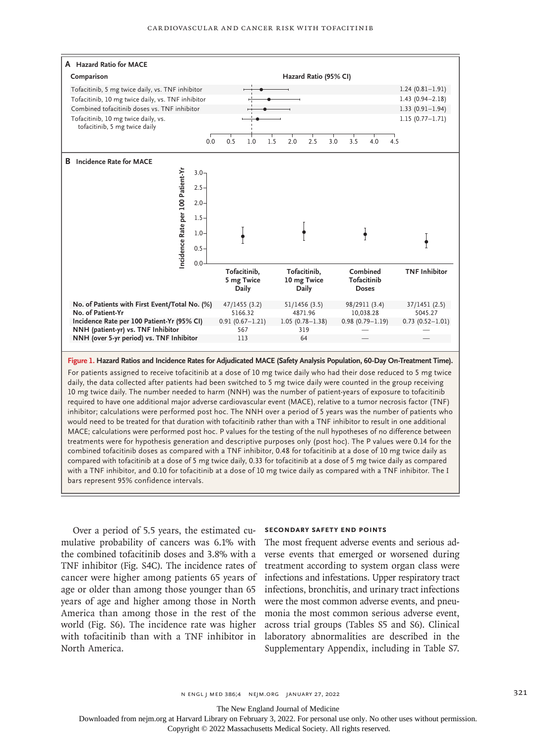

**Figure 1. Hazard Ratios and Incidence Rates for Adjudicated MACE (Safety Analysis Population, 60-Day On-Treatment Time).**

For patients assigned to receive tofacitinib at a dose of 10 mg twice daily who had their dose reduced to 5 mg twice daily, the data collected after patients had been switched to 5 mg twice daily were counted in the group receiving 10 mg twice daily. The number needed to harm (NNH) was the number of patient-years of exposure to tofacitinib required to have one additional major adverse cardiovascular event (MACE), relative to a tumor necrosis factor (TNF) inhibitor; calculations were performed post hoc. The NNH over a period of 5 years was the number of patients who would need to be treated for that duration with tofacitinib rather than with a TNF inhibitor to result in one additional MACE; calculations were performed post hoc. P values for the testing of the null hypotheses of no difference between treatments were for hypothesis generation and descriptive purposes only (post hoc). The P values were 0.14 for the combined tofacitinib doses as compared with a TNF inhibitor, 0.48 for tofacitinib at a dose of 10 mg twice daily as compared with tofacitinib at a dose of 5 mg twice daily, 0.33 for tofacitinib at a dose of 5 mg twice daily as compared with a TNF inhibitor, and 0.10 for tofacitinib at a dose of 10 mg twice daily as compared with a TNF inhibitor. The I bars represent 95% confidence intervals.

Over a period of 5.5 years, the estimated cumulative probability of cancers was 6.1% with the combined tofacitinib doses and 3.8% with a TNF inhibitor (Fig. S4C). The incidence rates of cancer were higher among patients 65 years of age or older than among those younger than 65 years of age and higher among those in North America than among those in the rest of the world (Fig. S6). The incidence rate was higher with tofacitinib than with a TNF inhibitor in North America.

#### **Secondary Safety End Points**

The most frequent adverse events and serious adverse events that emerged or worsened during treatment according to system organ class were infections and infestations. Upper respiratory tract infections, bronchitis, and urinary tract infections were the most common adverse events, and pneumonia the most common serious adverse event, across trial groups (Tables S5 and S6). Clinical laboratory abnormalities are described in the Supplementary Appendix, including in Table S7.

The New England Journal of Medicine

Downloaded from nejm.org at Harvard Library on February 3, 2022. For personal use only. No other uses without permission.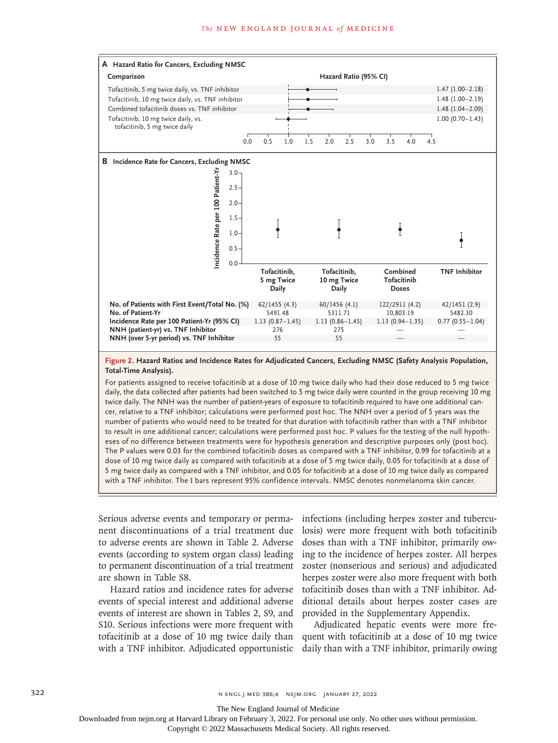#### **The NEW ENGLAND JOURNAL of MEDICINE**



#### **Figure 2. Hazard Ratios and Incidence Rates for Adjudicated Cancers, Excluding NMSC (Safety Analysis Population, Total-Time Analysis).**

For patients assigned to receive tofacitinib at a dose of 10 mg twice daily who had their dose reduced to 5 mg twice daily, the data collected after patients had been switched to 5 mg twice daily were counted in the group receiving 10 mg twice daily. The NNH was the number of patient-years of exposure to tofacitinib required to have one additional cancer, relative to a TNF inhibitor; calculations were performed post hoc. The NNH over a period of 5 years was the number of patients who would need to be treated for that duration with tofacitinib rather than with a TNF inhibitor to result in one additional cancer; calculations were performed post hoc. P values for the testing of the null hypotheses of no difference between treatments were for hypothesis generation and descriptive purposes only (post hoc). The P values were 0.03 for the combined tofacitinib doses as compared with a TNF inhibitor, 0.99 for tofacitinib at a dose of 10 mg twice daily as compared with tofacitinib at a dose of 5 mg twice daily, 0.05 for tofacitinib at a dose of 5 mg twice daily as compared with a TNF inhibitor, and 0.05 for tofacitinib at a dose of 10 mg twice daily as compared with a TNF inhibitor. The I bars represent 95% confidence intervals. NMSC denotes nonmelanoma skin cancer.

Serious adverse events and temporary or permanent discontinuations of a trial treatment due to adverse events are shown in Table 2. Adverse events (according to system organ class) leading to permanent discontinuation of a trial treatment are shown in Table S8.

Hazard ratios and incidence rates for adverse events of special interest and additional adverse events of interest are shown in Tables 2, S9, and S10. Serious infections were more frequent with with a TNF inhibitor. Adjudicated opportunistic

infections (including herpes zoster and tuberculosis) were more frequent with both tofacitinib doses than with a TNF inhibitor, primarily owing to the incidence of herpes zoster. All herpes zoster (nonserious and serious) and adjudicated herpes zoster were also more frequent with both tofacitinib doses than with a TNF inhibitor. Additional details about herpes zoster cases are provided in the Supplementary Appendix.

tofacitinib at a dose of 10 mg twice daily than quent with tofacitinib at a dose of 10 mg twice Adjudicated hepatic events were more fredaily than with a TNF inhibitor, primarily owing

322 **N ENGL | MED 386;4 NEIM.ORG JANUARY 27, 2022** 

The New England Journal of Medicine

Downloaded from nejm.org at Harvard Library on February 3, 2022. For personal use only. No other uses without permission.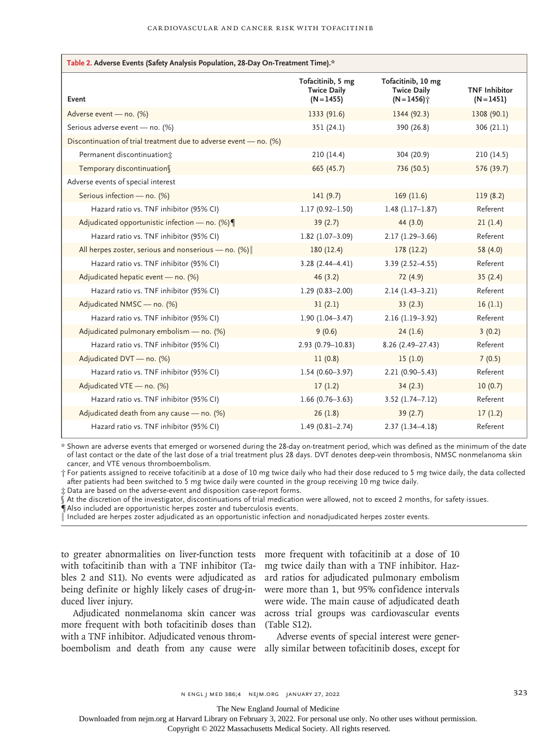| Table 2. Adverse Events (Safety Analysis Population, 28-Day On-Treatment Time).* |                                                         |                                                                       |                                      |  |  |
|----------------------------------------------------------------------------------|---------------------------------------------------------|-----------------------------------------------------------------------|--------------------------------------|--|--|
| Event                                                                            | Tofacitinib, 5 mg<br><b>Twice Daily</b><br>$(N = 1455)$ | Tofacitinib, 10 mg<br><b>Twice Daily</b><br>$(N = 1456)$ <sup>*</sup> | <b>TNF Inhibitor</b><br>$(N = 1451)$ |  |  |
| Adverse event - no. (%)                                                          | 1333 (91.6)                                             | 1344 (92.3)                                                           | 1308 (90.1)                          |  |  |
| Serious adverse event - no. (%)                                                  | 351(24.1)                                               | 390 (26.8)                                                            | 306(21.1)                            |  |  |
| Discontinuation of trial treatment due to adverse event - no. (%)                |                                                         |                                                                       |                                      |  |  |
| Permanent discontinuation:                                                       | 210(14.4)                                               | 304 (20.9)                                                            | 210(14.5)                            |  |  |
| Temporary discontinuation                                                        | 665 (45.7)                                              | 736 (50.5)                                                            | 576 (39.7)                           |  |  |
| Adverse events of special interest                                               |                                                         |                                                                       |                                      |  |  |
| Serious infection - no. (%)                                                      | 141(9.7)                                                | 169(11.6)                                                             | 119(8.2)                             |  |  |
| Hazard ratio vs. TNF inhibitor (95% CI)                                          | $1.17(0.92 - 1.50)$                                     | $1.48(1.17-1.87)$                                                     | Referent                             |  |  |
| Adjudicated opportunistic infection - no. $(%)$                                  | 39(2.7)                                                 | 44 (3.0)                                                              | 21(1.4)                              |  |  |
| Hazard ratio vs. TNF inhibitor (95% CI)                                          | $1.82$ (1.07-3.09)                                      | $2.17(1.29 - 3.66)$                                                   | Referent                             |  |  |
| All herpes zoster, serious and nonserious - no. $(\%)$                           | 180(12.4)                                               | 178 (12.2)                                                            | 58 (4.0)                             |  |  |
| Hazard ratio vs. TNF inhibitor (95% CI)                                          | $3.28(2.44 - 4.41)$                                     | $3.39(2.52 - 4.55)$                                                   | Referent                             |  |  |
| Adjudicated hepatic event - no. (%)                                              | 46(3.2)                                                 | 72 (4.9)                                                              | 35(2.4)                              |  |  |
| Hazard ratio vs. TNF inhibitor (95% CI)                                          | $1.29(0.83 - 2.00)$                                     | $2.14(1.43-3.21)$                                                     | Referent                             |  |  |
| Adjudicated NMSC - no. (%)                                                       | 31(2.1)                                                 | 33(2.3)                                                               | 16(1.1)                              |  |  |
| Hazard ratio vs. TNF inhibitor (95% CI)                                          | $1.90(1.04 - 3.47)$                                     | $2.16(1.19-3.92)$                                                     | Referent                             |  |  |
| Adjudicated pulmonary embolism - no. (%)                                         | 9(0.6)                                                  | 24(1.6)                                                               | 3(0.2)                               |  |  |
| Hazard ratio vs. TNF inhibitor (95% CI)                                          | 2.93 (0.79-10.83)                                       | $8.26(2.49 - 27.43)$                                                  | Referent                             |  |  |
| Adjudicated DVT - no. (%)                                                        | 11(0.8)                                                 | 15(1.0)                                                               | 7(0.5)                               |  |  |
| Hazard ratio vs. TNF inhibitor (95% CI)                                          | $1.54(0.60 - 3.97)$                                     | $2.21(0.90 - 5.43)$                                                   | Referent                             |  |  |
| Adjudicated VTE - no. (%)                                                        | 17(1.2)                                                 | 34(2.3)                                                               | 10(0.7)                              |  |  |
| Hazard ratio vs. TNF inhibitor (95% CI)                                          | $1.66(0.76 - 3.63)$                                     | $3.52$ (1.74-7.12)                                                    | Referent                             |  |  |
| Adjudicated death from any cause - no. (%)                                       | 26(1.8)                                                 | 39(2.7)                                                               | 17(1.2)                              |  |  |
| Hazard ratio vs. TNF inhibitor (95% CI)                                          | $1.49(0.81 - 2.74)$                                     | $2.37(1.34 - 4.18)$                                                   | Referent                             |  |  |

\* Shown are adverse events that emerged or worsened during the 28-day on-treatment period, which was defined as the minimum of the date of last contact or the date of the last dose of a trial treatment plus 28 days. DVT denotes deep-vein thrombosis, NMSC nonmelanoma skin cancer, and VTE venous thromboembolism.

† For patients assigned to receive tofacitinib at a dose of 10 mg twice daily who had their dose reduced to 5 mg twice daily, the data collected after patients had been switched to 5 mg twice daily were counted in the group receiving 10 mg twice daily.

‡ Data are based on the adverse-event and disposition case-report forms.

At the discretion of the investigator, discontinuations of trial medication were allowed, not to exceed 2 months, for safety issues.

¶ Also included are opportunistic herpes zoster and tuberculosis events.

‖ Included are herpes zoster adjudicated as an opportunistic infection and nonadjudicated herpes zoster events.

with tofacitinib than with a TNF inhibitor (Tables 2 and S11). No events were adjudicated as being definite or highly likely cases of drug-induced liver injury.

more frequent with both tofacitinib doses than (Table S12). with a TNF inhibitor. Adjudicated venous throm-

to greater abnormalities on liver-function tests more frequent with tofacitinib at a dose of 10 Adjudicated nonmelanoma skin cancer was across trial groups was cardiovascular events mg twice daily than with a TNF inhibitor. Hazard ratios for adjudicated pulmonary embolism were more than 1, but 95% confidence intervals were wide. The main cause of adjudicated death

boembolism and death from any cause were ally similar between tofacitinib doses, except for Adverse events of special interest were gener-

The New England Journal of Medicine

Downloaded from nejm.org at Harvard Library on February 3, 2022. For personal use only. No other uses without permission.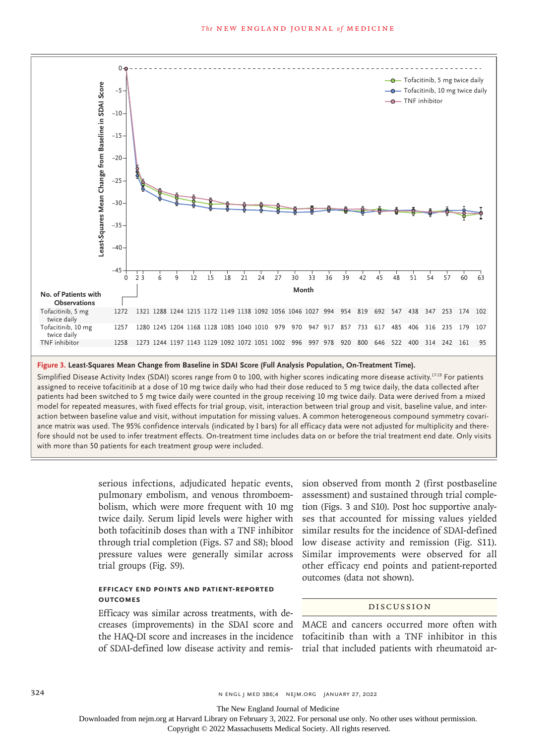

#### **Figure 3. Least-Squares Mean Change from Baseline in SDAI Score (Full Analysis Population, On-Treatment Time).**

Simplified Disease Activity Index (SDAI) scores range from 0 to 100, with higher scores indicating more disease activity.<sup>17-19</sup> For patients assigned to receive tofacitinib at a dose of 10 mg twice daily who had their dose reduced to 5 mg twice daily, the data collected after patients had been switched to 5 mg twice daily were counted in the group receiving 10 mg twice daily. Data were derived from a mixed model for repeated measures, with fixed effects for trial group, visit, interaction between trial group and visit, baseline value, and interaction between baseline value and visit, without imputation for missing values. A common heterogeneous compound symmetry covariance matrix was used. The 95% confidence intervals (indicated by I bars) for all efficacy data were not adjusted for multiplicity and therefore should not be used to infer treatment effects. On-treatment time includes data on or before the trial treatment end date. Only visits

> serious infections, adjudicated hepatic events, pulmonary embolism, and venous thromboembolism, which were more frequent with 10 mg twice daily. Serum lipid levels were higher with both tofacitinib doses than with a TNF inhibitor through trial completion (Figs. S7 and S8); blood pressure values were generally similar across trial groups (Fig. S9).

# **Efficacy End Points and Patient-Reported Outcomes**

Efficacy was similar across treatments, with decreases (improvements) in the SDAI score and MACE and cancers occurred more often with of SDAI-defined low disease activity and remis-trial that included patients with rheumatoid ar-

sion observed from month 2 (first postbaseline assessment) and sustained through trial completion (Figs. 3 and S10). Post hoc supportive analyses that accounted for missing values yielded similar results for the incidence of SDAI-defined low disease activity and remission (Fig. S11). Similar improvements were observed for all other efficacy end points and patient-reported outcomes (data not shown).

# Discussion

the HAQ-DI score and increases in the incidence tofacitinib than with a TNF inhibitor in this

324 **N ENGL | MED 386;4 NEIM.ORG JANUARY 27, 2022** 

The New England Journal of Medicine

Downloaded from nejm.org at Harvard Library on February 3, 2022. For personal use only. No other uses without permission.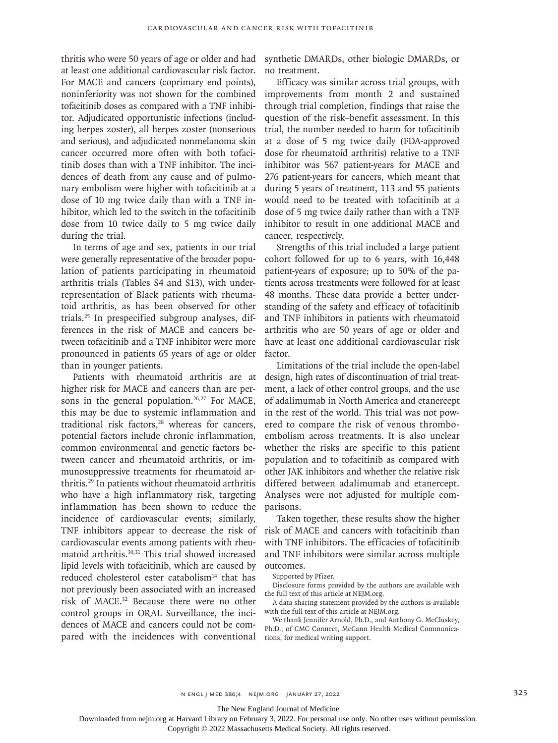thritis who were 50 years of age or older and had at least one additional cardiovascular risk factor. For MACE and cancers (coprimary end points), noninferiority was not shown for the combined tofacitinib doses as compared with a TNF inhibitor. Adjudicated opportunistic infections (including herpes zoster), all herpes zoster (nonserious and serious), and adjudicated nonmelanoma skin cancer occurred more often with both tofacitinib doses than with a TNF inhibitor. The incidences of death from any cause and of pulmonary embolism were higher with tofacitinib at a dose of 10 mg twice daily than with a TNF inhibitor, which led to the switch in the tofacitinib dose from 10 twice daily to 5 mg twice daily during the trial.

In terms of age and sex, patients in our trial were generally representative of the broader population of patients participating in rheumatoid arthritis trials (Tables S4 and S13), with underrepresentation of Black patients with rheumatoid arthritis, as has been observed for other trials.25 In prespecified subgroup analyses, differences in the risk of MACE and cancers between tofacitinib and a TNF inhibitor were more pronounced in patients 65 years of age or older than in younger patients.

Patients with rheumatoid arthritis are at higher risk for MACE and cancers than are persons in the general population. $26,27$  For MACE, this may be due to systemic inflammation and traditional risk factors,<sup>28</sup> whereas for cancers, potential factors include chronic inflammation, common environmental and genetic factors between cancer and rheumatoid arthritis, or immunosuppressive treatments for rheumatoid arthritis.29 In patients without rheumatoid arthritis who have a high inflammatory risk, targeting inflammation has been shown to reduce the incidence of cardiovascular events; similarly, TNF inhibitors appear to decrease the risk of cardiovascular events among patients with rheumatoid arthritis.30,31 This trial showed increased lipid levels with tofacitinib, which are caused by reduced cholesterol ester catabolism $14$  that has not previously been associated with an increased risk of MACE.32 Because there were no other control groups in ORAL Surveillance, the incidences of MACE and cancers could not be compared with the incidences with conventional

synthetic DMARDs, other biologic DMARDs, or no treatment.

Efficacy was similar across trial groups, with improvements from month 2 and sustained through trial completion, findings that raise the question of the risk–benefit assessment. In this trial, the number needed to harm for tofacitinib at a dose of 5 mg twice daily (FDA-approved dose for rheumatoid arthritis) relative to a TNF inhibitor was 567 patient-years for MACE and 276 patient-years for cancers, which meant that during 5 years of treatment, 113 and 55 patients would need to be treated with tofacitinib at a dose of 5 mg twice daily rather than with a TNF inhibitor to result in one additional MACE and cancer, respectively.

Strengths of this trial included a large patient cohort followed for up to 6 years, with 16,448 patient-years of exposure; up to 50% of the patients across treatments were followed for at least 48 months. These data provide a better understanding of the safety and efficacy of tofacitinib and TNF inhibitors in patients with rheumatoid arthritis who are 50 years of age or older and have at least one additional cardiovascular risk factor.

Limitations of the trial include the open-label design, high rates of discontinuation of trial treatment, a lack of other control groups, and the use of adalimumab in North America and etanercept in the rest of the world. This trial was not powered to compare the risk of venous thromboembolism across treatments. It is also unclear whether the risks are specific to this patient population and to tofacitinib as compared with other JAK inhibitors and whether the relative risk differed between adalimumab and etanercept. Analyses were not adjusted for multiple comparisons.

Taken together, these results show the higher risk of MACE and cancers with tofacitinib than with TNF inhibitors. The efficacies of tofacitinib and TNF inhibitors were similar across multiple outcomes.

Supported by Pfizer.

Disclosure forms provided by the authors are available with the full text of this article at NEJM.org.

A data sharing statement provided by the authors is available with the full text of this article at NEJM.org.

We thank Jennifer Arnold, Ph.D., and Anthony G. McCluskey, Ph.D., of CMC Connect, McCann Health Medical Communications, for medical writing support.

The New England Journal of Medicine

Downloaded from nejm.org at Harvard Library on February 3, 2022. For personal use only. No other uses without permission.